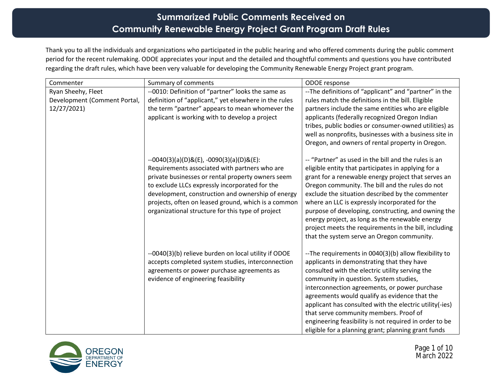## **Summarized Public Comments Received on Community Renewable Energy Project Grant Program Draft Rules**

Thank you to all the individuals and organizations who participated in the public hearing and who offered comments during the public comment period for the recent rulemaking. ODOE appreciates your input and the detailed and thoughtful comments and questions you have contributed regarding the draft rules, which have been very valuable for developing the Community Renewable Energy Project grant program.

| Commenter                                                         | Summary of comments                                                                                                                                                                                                                                                                                                                                                    | ODOE response                                                                                                                                                                                                                                                                                                                                                                                                                                                                                                                                |
|-------------------------------------------------------------------|------------------------------------------------------------------------------------------------------------------------------------------------------------------------------------------------------------------------------------------------------------------------------------------------------------------------------------------------------------------------|----------------------------------------------------------------------------------------------------------------------------------------------------------------------------------------------------------------------------------------------------------------------------------------------------------------------------------------------------------------------------------------------------------------------------------------------------------------------------------------------------------------------------------------------|
| Ryan Sheehy, Fleet<br>Development (Comment Portal,<br>12/27/2021) | --0010: Definition of "partner" looks the same as<br>definition of "applicant," yet elsewhere in the rules<br>the term "partner" appears to mean whomever the<br>applicant is working with to develop a project                                                                                                                                                        | --The definitions of "applicant" and "partner" in the<br>rules match the definitions in the bill. Eligible<br>partners include the same entities who are eligible<br>applicants (federally recognized Oregon Indian<br>tribes, public bodies or consumer-owned utilities) as<br>well as nonprofits, businesses with a business site in<br>Oregon, and owners of rental property in Oregon.                                                                                                                                                   |
|                                                                   | $-0040(3)(a)(D)$ &(E), $-0090(3)(a)(D)$ &(E):<br>Requirements associated with partners who are<br>private businesses or rental property owners seem<br>to exclude LLCs expressly incorporated for the<br>development, construction and ownership of energy<br>projects, often on leased ground, which is a common<br>organizational structure for this type of project | -- "Partner" as used in the bill and the rules is an<br>eligible entity that participates in applying for a<br>grant for a renewable energy project that serves an<br>Oregon community. The bill and the rules do not<br>exclude the situation described by the commenter<br>where an LLC is expressly incorporated for the<br>purpose of developing, constructing, and owning the<br>energy project, as long as the renewable energy<br>project meets the requirements in the bill, including<br>that the system serve an Oregon community. |
|                                                                   | --0040(3)(b) relieve burden on local utility if ODOE<br>accepts completed system studies, interconnection<br>agreements or power purchase agreements as<br>evidence of engineering feasibility                                                                                                                                                                         | --The requirements in 0040(3)(b) allow flexibility to<br>applicants in demonstrating that they have<br>consulted with the electric utility serving the<br>community in question. System studies,<br>interconnection agreements, or power purchase<br>agreements would qualify as evidence that the<br>applicant has consulted with the electric utility(-ies)<br>that serve community members. Proof of<br>engineering feasibility is not required in order to be<br>eligible for a planning grant; planning grant funds                     |



 Page 1 of 10 March 2022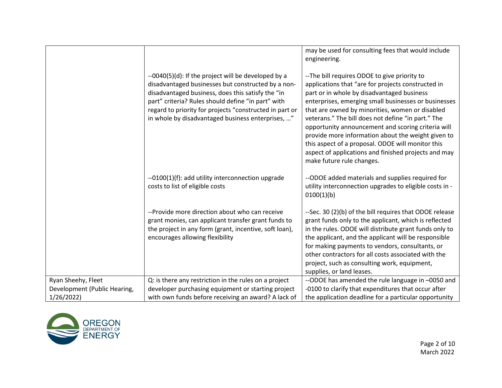|                              |                                                                                                                                                                                                                                                                                                                                      | may be used for consulting fees that would include<br>engineering.                                                                                                                                                                                                                                                                                                                                                                                                                                                                                                      |
|------------------------------|--------------------------------------------------------------------------------------------------------------------------------------------------------------------------------------------------------------------------------------------------------------------------------------------------------------------------------------|-------------------------------------------------------------------------------------------------------------------------------------------------------------------------------------------------------------------------------------------------------------------------------------------------------------------------------------------------------------------------------------------------------------------------------------------------------------------------------------------------------------------------------------------------------------------------|
|                              | --0040(5)(d): If the project will be developed by a<br>disadvantaged businesses but constructed by a non-<br>disadvantaged business, does this satisfy the "in<br>part" criteria? Rules should define "in part" with<br>regard to priority for projects "constructed in part or<br>in whole by disadvantaged business enterprises, " | --The bill requires ODOE to give priority to<br>applications that "are for projects constructed in<br>part or in whole by disadvantaged business<br>enterprises, emerging small businesses or businesses<br>that are owned by minorities, women or disabled<br>veterans." The bill does not define "in part." The<br>opportunity announcement and scoring criteria will<br>provide more information about the weight given to<br>this aspect of a proposal. ODOE will monitor this<br>aspect of applications and finished projects and may<br>make future rule changes. |
|                              | --0100(1)(f): add utility interconnection upgrade<br>costs to list of eligible costs                                                                                                                                                                                                                                                 | --ODOE added materials and supplies required for<br>utility interconnection upgrades to eligible costs in -<br>0100(1)(b)                                                                                                                                                                                                                                                                                                                                                                                                                                               |
|                              | --Provide more direction about who can receive<br>grant monies, can applicant transfer grant funds to<br>the project in any form (grant, incentive, soft loan),<br>encourages allowing flexibility                                                                                                                                   | --Sec. 30 (2)(b) of the bill requires that ODOE release<br>grant funds only to the applicant, which is reflected<br>in the rules. ODOE will distribute grant funds only to<br>the applicant, and the applicant will be responsible<br>for making payments to vendors, consultants, or<br>other contractors for all costs associated with the<br>project, such as consulting work, equipment,<br>supplies, or land leases.                                                                                                                                               |
| Ryan Sheehy, Fleet           | Q: is there any restriction in the rules on a project                                                                                                                                                                                                                                                                                | --ODOE has amended the rule language in -0050 and                                                                                                                                                                                                                                                                                                                                                                                                                                                                                                                       |
| Development (Public Hearing, | developer purchasing equipment or starting project                                                                                                                                                                                                                                                                                   | -0100 to clarify that expenditures that occur after                                                                                                                                                                                                                                                                                                                                                                                                                                                                                                                     |
| 1/26/2022                    | with own funds before receiving an award? A lack of                                                                                                                                                                                                                                                                                  | the application deadline for a particular opportunity                                                                                                                                                                                                                                                                                                                                                                                                                                                                                                                   |

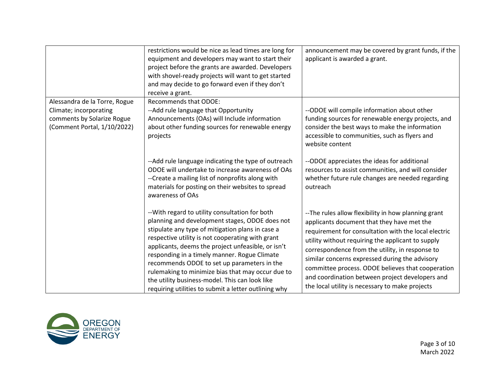|                                                                                                                      | restrictions would be nice as lead times are long for<br>equipment and developers may want to start their<br>project before the grants are awarded. Developers<br>with shovel-ready projects will want to get started<br>and may decide to go forward even if they don't<br>receive a grant.                                                                                                                                                                                                                                                                                                           | announcement may be covered by grant funds, if the<br>applicant is awarded a grant.                                                                                                                                                                                                                                                                                                                                                                                                         |
|----------------------------------------------------------------------------------------------------------------------|--------------------------------------------------------------------------------------------------------------------------------------------------------------------------------------------------------------------------------------------------------------------------------------------------------------------------------------------------------------------------------------------------------------------------------------------------------------------------------------------------------------------------------------------------------------------------------------------------------|---------------------------------------------------------------------------------------------------------------------------------------------------------------------------------------------------------------------------------------------------------------------------------------------------------------------------------------------------------------------------------------------------------------------------------------------------------------------------------------------|
| Alessandra de la Torre, Rogue<br>Climate; incorporating<br>comments by Solarize Rogue<br>(Comment Portal, 1/10/2022) | <b>Recommends that ODOE:</b><br>--Add rule language that Opportunity<br>Announcements (OAs) will Include information<br>about other funding sources for renewable energy<br>projects<br>--Add rule language indicating the type of outreach<br>ODOE will undertake to increase awareness of OAs<br>--Create a mailing list of nonprofits along with                                                                                                                                                                                                                                                    | --ODOE will compile information about other<br>funding sources for renewable energy projects, and<br>consider the best ways to make the information<br>accessible to communities, such as flyers and<br>website content<br>--ODOE appreciates the ideas for additional<br>resources to assist communities, and will consider<br>whether future rule changes are needed regarding                                                                                                            |
|                                                                                                                      | materials for posting on their websites to spread<br>awareness of OAs<br>-- With regard to utility consultation for both<br>planning and development stages, ODOE does not<br>stipulate any type of mitigation plans in case a<br>respective utility is not cooperating with grant<br>applicants, deems the project unfeasible, or isn't<br>responding in a timely manner. Rogue Climate<br>recommends ODOE to set up parameters in the<br>rulemaking to minimize bias that may occur due to<br>the utility business-model. This can look like<br>requiring utilities to submit a letter outlining why | outreach<br>-- The rules allow flexibility in how planning grant<br>applicants document that they have met the<br>requirement for consultation with the local electric<br>utility without requiring the applicant to supply<br>correspondence from the utility, in response to<br>similar concerns expressed during the advisory<br>committee process. ODOE believes that cooperation<br>and coordination between project developers and<br>the local utility is necessary to make projects |

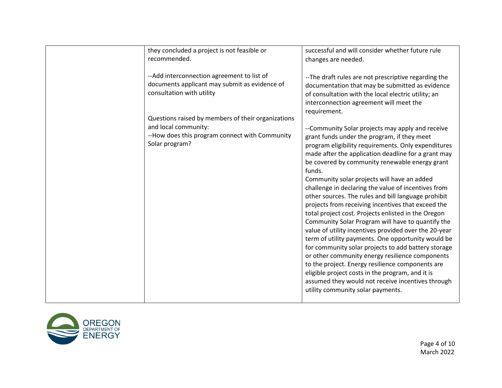| they concluded a project is not feasible or                                                                                                                                                                                                                                                 | successful and will consider whether future rule                                                                                                                                                                                                                                                                                                                                                                                                                                                                                                                                                                                                                                                                                                                                                                                                                                                                                                                                                                                                                                                                                                                                                                                                                                        |
|---------------------------------------------------------------------------------------------------------------------------------------------------------------------------------------------------------------------------------------------------------------------------------------------|-----------------------------------------------------------------------------------------------------------------------------------------------------------------------------------------------------------------------------------------------------------------------------------------------------------------------------------------------------------------------------------------------------------------------------------------------------------------------------------------------------------------------------------------------------------------------------------------------------------------------------------------------------------------------------------------------------------------------------------------------------------------------------------------------------------------------------------------------------------------------------------------------------------------------------------------------------------------------------------------------------------------------------------------------------------------------------------------------------------------------------------------------------------------------------------------------------------------------------------------------------------------------------------------|
|                                                                                                                                                                                                                                                                                             |                                                                                                                                                                                                                                                                                                                                                                                                                                                                                                                                                                                                                                                                                                                                                                                                                                                                                                                                                                                                                                                                                                                                                                                                                                                                                         |
|                                                                                                                                                                                                                                                                                             |                                                                                                                                                                                                                                                                                                                                                                                                                                                                                                                                                                                                                                                                                                                                                                                                                                                                                                                                                                                                                                                                                                                                                                                                                                                                                         |
| recommended.<br>-- Add interconnection agreement to list of<br>documents applicant may submit as evidence of<br>consultation with utility<br>Questions raised by members of their organizations<br>and local community:<br>--How does this program connect with Community<br>Solar program? | changes are needed.<br>--The draft rules are not prescriptive regarding the<br>documentation that may be submitted as evidence<br>of consultation with the local electric utility; an<br>interconnection agreement will meet the<br>requirement.<br>--Community Solar projects may apply and receive<br>grant funds under the program, if they meet<br>program eligibility requirements. Only expenditures<br>made after the application deadline for a grant may<br>be covered by community renewable energy grant<br>funds.<br>Community solar projects will have an added<br>challenge in declaring the value of incentives from<br>other sources. The rules and bill language prohibit<br>projects from receiving incentives that exceed the<br>total project cost. Projects enlisted in the Oregon<br>Community Solar Program will have to quantify the<br>value of utility incentives provided over the 20-year<br>term of utility payments. One opportunity would be<br>for community solar projects to add battery storage<br>or other community energy resilience components<br>to the project. Energy resilience components are<br>eligible project costs in the program, and it is<br>assumed they would not receive incentives through<br>utility community solar payments. |
|                                                                                                                                                                                                                                                                                             |                                                                                                                                                                                                                                                                                                                                                                                                                                                                                                                                                                                                                                                                                                                                                                                                                                                                                                                                                                                                                                                                                                                                                                                                                                                                                         |

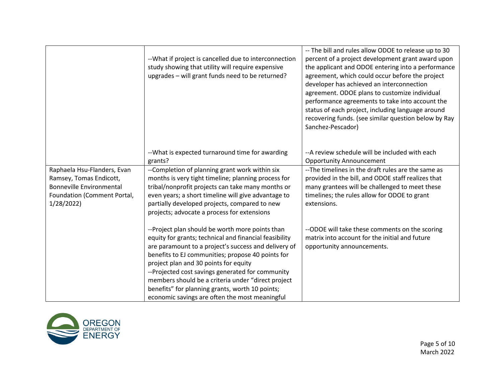| -- What if project is cancelled due to interconnection<br>study showing that utility will require expensive<br>upgrades - will grant funds need to be returned?                                                                                                                                                                                                                                                              | -- The bill and rules allow ODOE to release up to 30<br>percent of a project development grant award upon<br>the applicant and ODOE entering into a performance<br>agreement, which could occur before the project<br>developer has achieved an interconnection<br>agreement. ODOE plans to customize individual<br>performance agreements to take into account the<br>status of each project, including language around<br>recovering funds. (see similar question below by Ray<br>Sanchez-Pescador) |
|------------------------------------------------------------------------------------------------------------------------------------------------------------------------------------------------------------------------------------------------------------------------------------------------------------------------------------------------------------------------------------------------------------------------------|-------------------------------------------------------------------------------------------------------------------------------------------------------------------------------------------------------------------------------------------------------------------------------------------------------------------------------------------------------------------------------------------------------------------------------------------------------------------------------------------------------|
| -- What is expected turnaround time for awarding<br>grants?                                                                                                                                                                                                                                                                                                                                                                  | -- A review schedule will be included with each<br><b>Opportunity Announcement</b>                                                                                                                                                                                                                                                                                                                                                                                                                    |
| --Completion of planning grant work within six<br>months is very tight timeline; planning process for<br>tribal/nonprofit projects can take many months or<br>even years; a short timeline will give advantage to<br>partially developed projects, compared to new<br>projects; advocate a process for extensions                                                                                                            | --The timelines in the draft rules are the same as<br>provided in the bill, and ODOE staff realizes that<br>many grantees will be challenged to meet these<br>timelines; the rules allow for ODOE to grant<br>extensions.                                                                                                                                                                                                                                                                             |
| --Project plan should be worth more points than<br>equity for grants; technical and financial feasibility<br>are paramount to a project's success and delivery of<br>benefits to EJ communities; propose 40 points for<br>project plan and 30 points for equity<br>--Projected cost savings generated for community<br>members should be a criteria under "direct project<br>benefits" for planning grants, worth 10 points; | --ODOE will take these comments on the scoring<br>matrix into account for the initial and future<br>opportunity announcements.                                                                                                                                                                                                                                                                                                                                                                        |
|                                                                                                                                                                                                                                                                                                                                                                                                                              | economic savings are often the most meaningful                                                                                                                                                                                                                                                                                                                                                                                                                                                        |

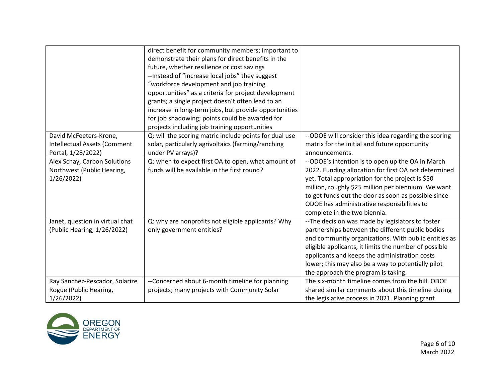|                                 | direct benefit for community members; important to     |                                                       |
|---------------------------------|--------------------------------------------------------|-------------------------------------------------------|
|                                 | demonstrate their plans for direct benefits in the     |                                                       |
|                                 | future, whether resilience or cost savings             |                                                       |
|                                 | --Instead of "increase local jobs" they suggest        |                                                       |
|                                 | "workforce development and job training                |                                                       |
|                                 | opportunities" as a criteria for project development   |                                                       |
|                                 | grants; a single project doesn't often lead to an      |                                                       |
|                                 | increase in long-term jobs, but provide opportunities  |                                                       |
|                                 | for job shadowing; points could be awarded for         |                                                       |
|                                 | projects including job training opportunities          |                                                       |
| David McFeeters-Krone,          | Q: will the scoring matric include points for dual use | --ODOE will consider this idea regarding the scoring  |
| Intellectual Assets (Comment    | solar, particularly agrivoltaics (farming/ranching     | matrix for the initial and future opportunity         |
| Portal, 1/28/2022)              | under PV arrays)?                                      | announcements.                                        |
| Alex Schay, Carbon Solutions    | Q: when to expect first OA to open, what amount of     | --ODOE's intention is to open up the OA in March      |
| Northwest (Public Hearing,      | funds will be available in the first round?            | 2022. Funding allocation for first OA not determined  |
| 1/26/2022                       |                                                        | yet. Total appropriation for the project is \$50      |
|                                 |                                                        | million, roughly \$25 million per biennium. We want   |
|                                 |                                                        | to get funds out the door as soon as possible since   |
|                                 |                                                        | ODOE has administrative responsibilities to           |
|                                 |                                                        | complete in the two biennia.                          |
| Janet, question in virtual chat | Q: why are nonprofits not eligible applicants? Why     | -- The decision was made by legislators to foster     |
| (Public Hearing, 1/26/2022)     | only government entities?                              | partnerships between the different public bodies      |
|                                 |                                                        | and community organizations. With public entities as  |
|                                 |                                                        | eligible applicants, it limits the number of possible |
|                                 |                                                        | applicants and keeps the administration costs         |
|                                 |                                                        | lower; this may also be a way to potentially pilot    |
|                                 |                                                        | the approach the program is taking.                   |
| Ray Sanchez-Pescador, Solarize  | --Concerned about 6-month timeline for planning        | The six-month timeline comes from the bill. ODOE      |
| Rogue (Public Hearing,          | projects; many projects with Community Solar           | shared similar comments about this timeline during    |
| 1/26/2022                       |                                                        | the legislative process in 2021. Planning grant       |

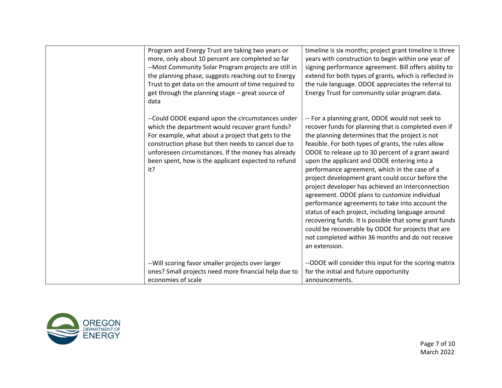| Program and Energy Trust are taking two years or<br>more, only about 10 percent are completed so far<br>--Most Community Solar Program projects are still in<br>the planning phase, suggests reaching out to Energy<br>Trust to get data on the amount of time required to<br>get through the planning stage - great source of<br>data | timeline is six months; project grant timeline is three<br>years with construction to begin within one year of<br>signing performance agreement. Bill offers ability to<br>extend for both types of grants, which is reflected in<br>the rule language. ODOE appreciates the referral to<br>Energy Trust for community solar program data.                                                                                                                                                                                                                                                                                                                                                                                                                                                                                     |
|----------------------------------------------------------------------------------------------------------------------------------------------------------------------------------------------------------------------------------------------------------------------------------------------------------------------------------------|--------------------------------------------------------------------------------------------------------------------------------------------------------------------------------------------------------------------------------------------------------------------------------------------------------------------------------------------------------------------------------------------------------------------------------------------------------------------------------------------------------------------------------------------------------------------------------------------------------------------------------------------------------------------------------------------------------------------------------------------------------------------------------------------------------------------------------|
| --Could ODOE expand upon the circumstances under<br>which the department would recover grant funds?<br>For example, what about a project that gets to the<br>construction phase but then needs to cancel due to<br>unforeseen circumstances. If the money has already<br>been spent, how is the applicant expected to refund<br>it?    | -- For a planning grant, ODOE would not seek to<br>recover funds for planning that is completed even if<br>the planning determines that the project is not<br>feasible. For both types of grants, the rules allow<br>ODOE to release up to 30 percent of a grant award<br>upon the applicant and ODOE entering into a<br>performance agreement, which in the case of a<br>project development grant could occur before the<br>project developer has achieved an interconnection<br>agreement. ODOE plans to customize individual<br>performance agreements to take into account the<br>status of each project, including language around<br>recovering funds. It is possible that some grant funds<br>could be recoverable by ODOE for projects that are<br>not completed within 36 months and do not receive<br>an extension. |
| -- Will scoring favor smaller projects over larger<br>ones? Small projects need more financial help due to<br>economies of scale                                                                                                                                                                                                       | --ODOE will consider this input for the scoring matrix<br>for the initial and future opportunity<br>announcements.                                                                                                                                                                                                                                                                                                                                                                                                                                                                                                                                                                                                                                                                                                             |
|                                                                                                                                                                                                                                                                                                                                        |                                                                                                                                                                                                                                                                                                                                                                                                                                                                                                                                                                                                                                                                                                                                                                                                                                |

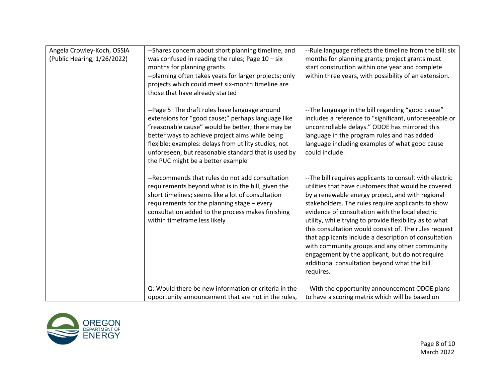| Angela Crowley-Koch, OSSIA<br>(Public Hearing, 1/26/2022) | --Shares concern about short planning timeline, and<br>was confused in reading the rules; Page $10 - six$<br>months for planning grants<br>--planning often takes years for larger projects; only<br>projects which could meet six-month timeline are<br>those that have already started                                                                        | --Rule language reflects the timeline from the bill: six<br>months for planning grants; project grants must<br>start construction within one year and complete<br>within three years, with possibility of an extension.                                                                                                                                                                                                                                                                                                                                                                                                    |
|-----------------------------------------------------------|-----------------------------------------------------------------------------------------------------------------------------------------------------------------------------------------------------------------------------------------------------------------------------------------------------------------------------------------------------------------|----------------------------------------------------------------------------------------------------------------------------------------------------------------------------------------------------------------------------------------------------------------------------------------------------------------------------------------------------------------------------------------------------------------------------------------------------------------------------------------------------------------------------------------------------------------------------------------------------------------------------|
|                                                           | --Page 5: The draft rules have language around<br>extensions for "good cause;" perhaps language like<br>"reasonable cause" would be better; there may be<br>better ways to achieve project aims while being<br>flexible; examples: delays from utility studies, not<br>unforeseen, but reasonable standard that is used by<br>the PUC might be a better example | --The language in the bill regarding "good cause"<br>includes a reference to "significant, unforeseeable or<br>uncontrollable delays." ODOE has mirrored this<br>language in the program rules and has added<br>language including examples of what good cause<br>could include.                                                                                                                                                                                                                                                                                                                                           |
|                                                           | --Recommends that rules do not add consultation<br>requirements beyond what is in the bill, given the<br>short timelines; seems like a lot of consultation<br>requirements for the planning stage - every<br>consultation added to the process makes finishing<br>within timeframe less likely                                                                  | --The bill requires applicants to consult with electric<br>utilities that have customers that would be covered<br>by a renewable energy project, and with regional<br>stakeholders. The rules require applicants to show<br>evidence of consultation with the local electric<br>utility, while trying to provide flexibility as to what<br>this consultation would consist of. The rules request<br>that applicants include a description of consultation<br>with community groups and any other community<br>engagement by the applicant, but do not require<br>additional consultation beyond what the bill<br>requires. |
|                                                           | Q: Would there be new information or criteria in the<br>opportunity announcement that are not in the rules,                                                                                                                                                                                                                                                     | -- With the opportunity announcement ODOE plans<br>to have a scoring matrix which will be based on                                                                                                                                                                                                                                                                                                                                                                                                                                                                                                                         |

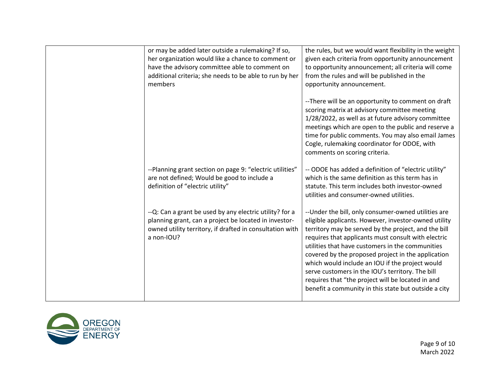| or may be added later outside a rulemaking? If so,<br>her organization would like a chance to comment or<br>have the advisory committee able to comment on<br>additional criteria; she needs to be able to run by her<br>members | the rules, but we would want flexibility in the weight<br>given each criteria from opportunity announcement<br>to opportunity announcement; all criteria will come<br>from the rules and will be published in the<br>opportunity announcement.                                                                                                                                                                                                                                                                                                            |
|----------------------------------------------------------------------------------------------------------------------------------------------------------------------------------------------------------------------------------|-----------------------------------------------------------------------------------------------------------------------------------------------------------------------------------------------------------------------------------------------------------------------------------------------------------------------------------------------------------------------------------------------------------------------------------------------------------------------------------------------------------------------------------------------------------|
|                                                                                                                                                                                                                                  | --There will be an opportunity to comment on draft<br>scoring matrix at advisory committee meeting<br>1/28/2022, as well as at future advisory committee<br>meetings which are open to the public and reserve a<br>time for public comments. You may also email James<br>Cogle, rulemaking coordinator for ODOE, with<br>comments on scoring criteria.                                                                                                                                                                                                    |
| --Planning grant section on page 9: "electric utilities"<br>are not defined; Would be good to include a<br>definition of "electric utility"                                                                                      | -- ODOE has added a definition of "electric utility"<br>which is the same definition as this term has in<br>statute. This term includes both investor-owned<br>utilities and consumer-owned utilities.                                                                                                                                                                                                                                                                                                                                                    |
| --Q: Can a grant be used by any electric utility? for a<br>planning grant, can a project be located in investor-<br>owned utility territory, if drafted in consultation with<br>a non-IOU?                                       | -- Under the bill, only consumer-owned utilities are<br>eligible applicants. However, investor-owned utility<br>territory may be served by the project, and the bill<br>requires that applicants must consult with electric<br>utilities that have customers in the communities<br>covered by the proposed project in the application<br>which would include an IOU if the project would<br>serve customers in the IOU's territory. The bill<br>requires that "the project will be located in and<br>benefit a community in this state but outside a city |